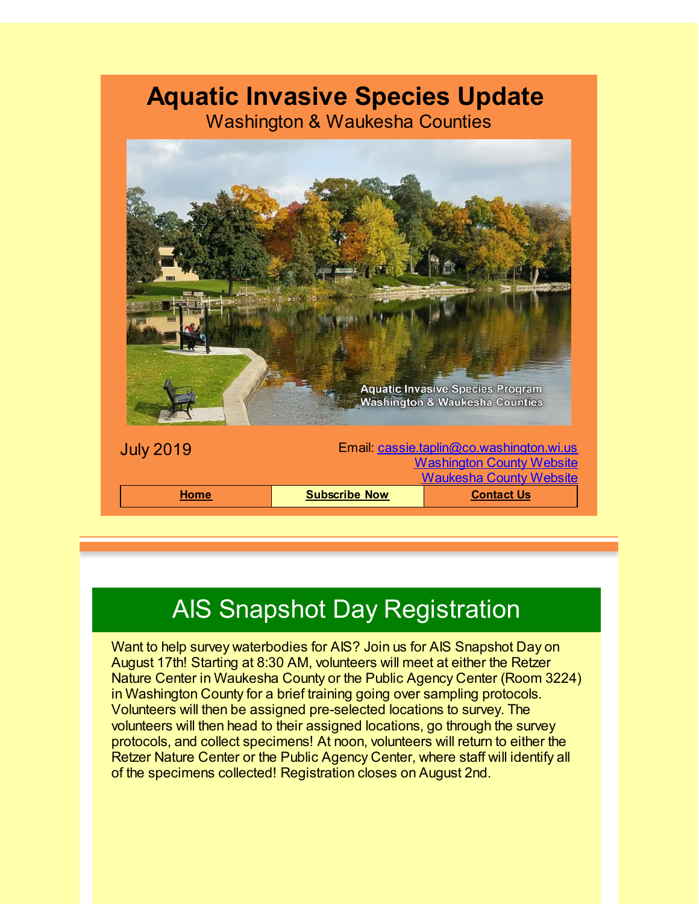#### **Aquatic Invasive Species Update**

Washington & Waukesha Counties



# AIS Snapshot Day Registration

Want to help survey waterbodies for AIS? Join us for AIS Snapshot Day on August 17th! Starting at 8:30 AM, volunteers will meet at either the Retzer Nature Center in Waukesha County or the Public Agency Center (Room 3224) in Washington County for a brief training going over sampling protocols. Volunteers will then be assigned pre-selected locations to survey. The volunteers will then head to their assigned locations, go through the survey protocols, and collect specimens! At noon, volunteers will return to either the Retzer Nature Center or the Public Agency Center, where staff will identify all of the specimens collected! Registration closes on August 2nd.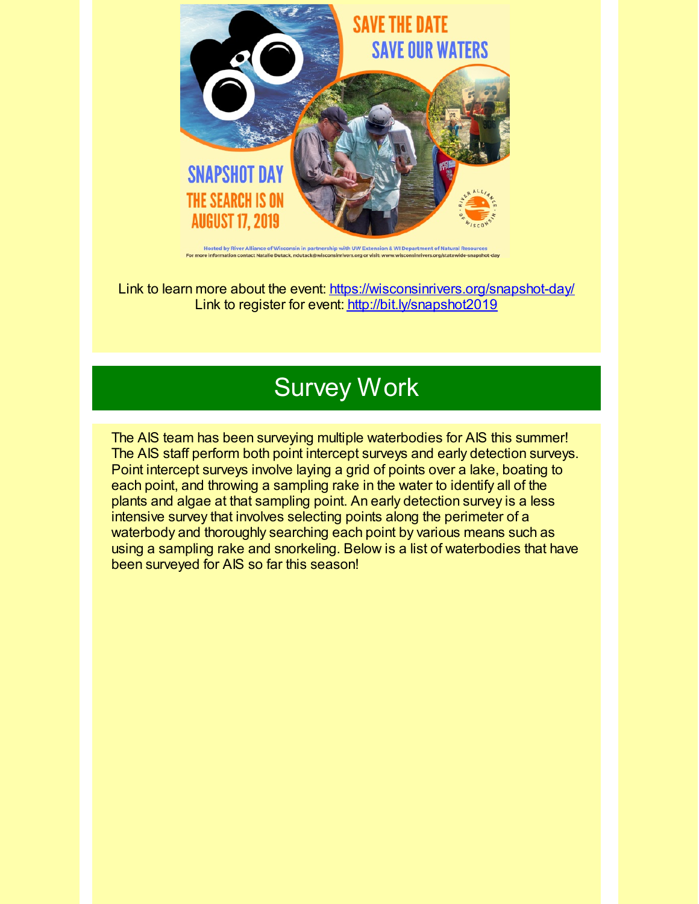

**Hosted by River Alliance of Wis** sin in partnership with UW Extension & WI Department of Natural Resources

Link to learn more about the event: [https://wisconsinrivers.org/snapshot-day/](https://wisconsinrivers.org/snapshot-day/?utm_source=Aquatic+Invasive+Species+Update+July+2019&utm_campaign=AIS+January+2018+Update&utm_medium=email) Link to register for event: [http://bit.ly/snapshot2019](http://bit.ly/snapshot2019?utm_source=Aquatic+Invasive+Species+Update+July+2019&utm_campaign=AIS+January+2018+Update&utm_medium=email)

## Survey Work

The AIS team has been surveying multiple waterbodies for AIS this summer! The AIS staff perform both point intercept surveys and early detection surveys. Point intercept surveys involve laying a grid of points over a lake, boating to each point, and throwing a sampling rake in the water to identify all of the plants and algae at that sampling point. An early detection survey is a less intensive survey that involves selecting points along the perimeter of a waterbody and thoroughly searching each point by various means such as using a sampling rake and snorkeling. Below is a list of waterbodies that have been surveyed for AIS so far this season!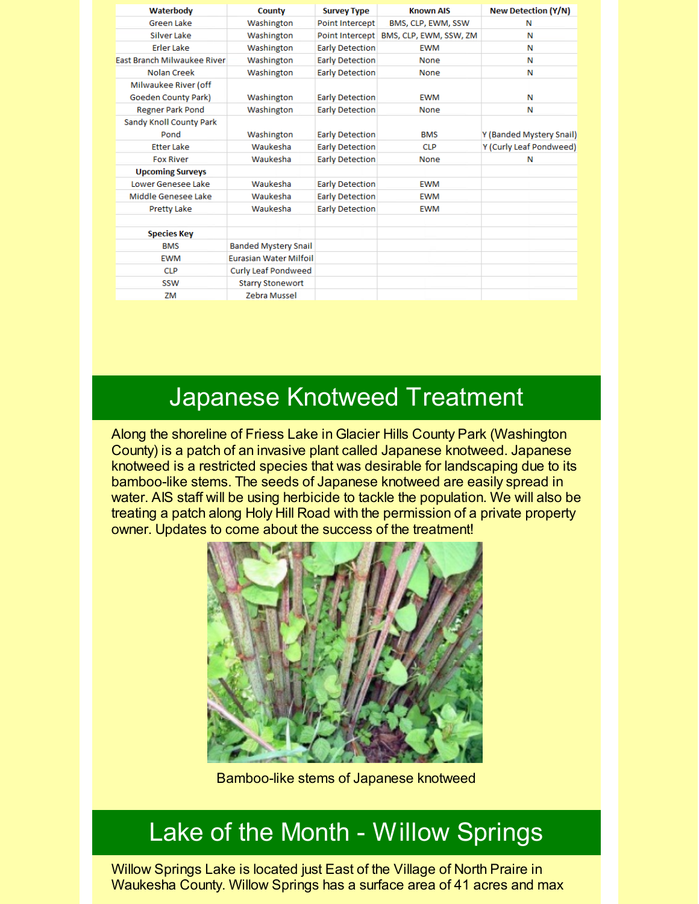| Waterbody                   | County                        | <b>Survey Type</b>     | <b>Known AIS</b>       | <b>New Detection (Y/N)</b> |
|-----------------------------|-------------------------------|------------------------|------------------------|----------------------------|
| <b>Green Lake</b>           | Washington                    | <b>Point Intercept</b> | BMS, CLP, EWM, SSW     | N                          |
| <b>Silver Lake</b>          | Washington                    | Point Intercept        | BMS, CLP, EWM, SSW, ZM | Ν                          |
| <b>Erler Lake</b>           | Washington                    | <b>Early Detection</b> | <b>EWM</b>             | Ν                          |
| East Branch Milwaukee River | Washington                    | <b>Early Detection</b> | <b>None</b>            | Ν                          |
| Nolan Creek                 | Washington                    | <b>Early Detection</b> | None                   | N                          |
| Milwaukee River (off        |                               |                        |                        |                            |
| <b>Goeden County Park)</b>  | Washington                    | <b>Early Detection</b> | <b>EWM</b>             | Ν                          |
| <b>Regner Park Pond</b>     | Washington                    | <b>Early Detection</b> | None                   | Ν                          |
| Sandy Knoll County Park     |                               |                        |                        |                            |
| Pond                        | Washington                    | <b>Early Detection</b> | <b>BMS</b>             | Y (Banded Mystery Snail)   |
| <b>Etter Lake</b>           | Waukesha                      | <b>Early Detection</b> | CLP.                   | Y (Curly Leaf Pondweed)    |
| <b>Fox River</b>            | Waukesha                      | <b>Early Detection</b> | None                   | N                          |
| <b>Upcoming Surveys</b>     |                               |                        |                        |                            |
| Lower Genesee Lake          | Waukesha                      | <b>Early Detection</b> | <b>EWM</b>             |                            |
| Middle Genesee Lake         | Waukesha                      | <b>Early Detection</b> | <b>EWM</b>             |                            |
| <b>Pretty Lake</b>          | Waukesha                      | <b>Early Detection</b> | <b>EWM</b>             |                            |
|                             |                               |                        |                        |                            |
| <b>Species Key</b>          |                               |                        |                        |                            |
| <b>BMS</b>                  | <b>Banded Mystery Snail</b>   |                        |                        |                            |
| <b>EWM</b>                  | <b>Furasian Water Milfoil</b> |                        |                        |                            |
| CLP                         | <b>Curly Leaf Pondweed</b>    |                        |                        |                            |
| <b>SSW</b>                  | <b>Starry Stonewort</b>       |                        |                        |                            |
| ZM                          | <b>Zebra Mussel</b>           |                        |                        |                            |

#### Japanese Knotweed Treatment

Along the shoreline of Friess Lake in Glacier Hills County Park (Washington County) is a patch of an invasive plant called Japanese knotweed. Japanese knotweed is a restricted species that was desirable for landscaping due to its bamboo-like stems. The seeds of Japanese knotweed are easily spread in water. AIS staff will be using herbicide to tackle the population. We will also be treating a patch along Holy Hill Road with the permission of a private property owner. Updates to come about the success of the treatment!



Bamboo-like stems of Japanese knotweed

### Lake of the Month - Willow Springs

Willow Springs Lake is located just East of the Village of North Praire in Waukesha County. Willow Springs has a surface area of 41 acres and max